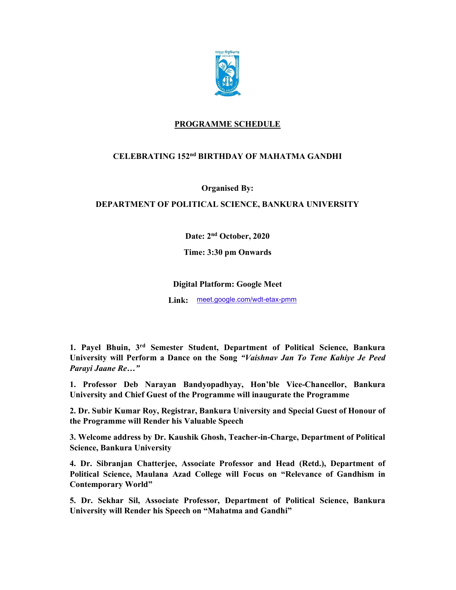

## PROGRAMME SCHEDULE

## CELEBRATING 152nd BIRTHDAY OF MAHATMA GANDHI

Organised By:

DEPARTMENT OF POLITICAL SCIENCE, BANKURA UNIVERSITY

Date: 2nd October, 2020

Time: 3:30 pm Onwards

## Digital Platform: Google Meet

Link: meet.google.com/wdt-etax-pmm

1. Payel Bhuin, 3rd Semester Student, Department of Political Science, Bankura University will Perform a Dance on the Song "Vaishnav Jan To Tene Kahiye Je Peed Parayi Jaane Re…"

1. Professor Deb Narayan Bandyopadhyay, Hon'ble Vice-Chancellor, Bankura University and Chief Guest of the Programme will inaugurate the Programme

2. Dr. Subir Kumar Roy, Registrar, Bankura University and Special Guest of Honour of the Programme will Render his Valuable Speech

3. Welcome address by Dr. Kaushik Ghosh, Teacher-in-Charge, Department of Political Science, Bankura University

4. Dr. Sibranjan Chatterjee, Associate Professor and Head (Retd.), Department of Political Science, Maulana Azad College will Focus on "Relevance of Gandhism in Contemporary World"

5. Dr. Sekhar Sil, Associate Professor, Department of Political Science, Bankura University will Render his Speech on "Mahatma and Gandhi"